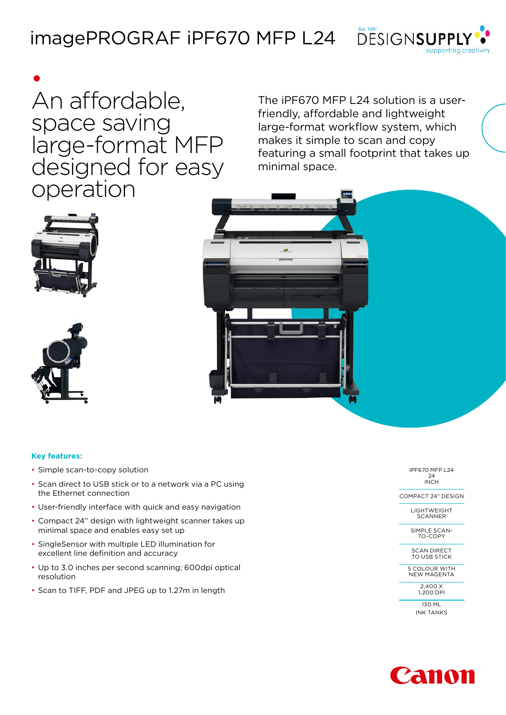



• An affordable, space saving large-format MFP designed for easy operation

The iPF670 MFP L24 solution is a userfriendly, affordable and lightweight large-format workflow system, which makes it simple to scan and copy featuring a small footprint that takes up minimal space.







## **Key features:**

- Simple scan-to-copy solution
- Scan direct to USB stick or to a network via a PC using the Ethernet connection
- User-friendly interface with quick and easy navigation
- Compact 24" design with lightweight scanner takes up minimal space and enables easy set up
- SingleSensor with multiple LED illumination for excellent line definition and accuracy
- Up to 3.0 inches per second scanning; 600dpi optical resolution
- Scan to TIFF, PDF and JPEG up to 1.27m in length

IPF670 MFP L24 24 INCH

COMPACT 24" DESIGN

LIGHTWEIGHT **SCANNER** 

SIMPLE SCAN-TO-COPY

SCAN DIRECT TO USB STICK

5 COLOUR WITH NEW MAGENTA

> $2,400X$ 1,200 DPI

130 ML

INK TANKS